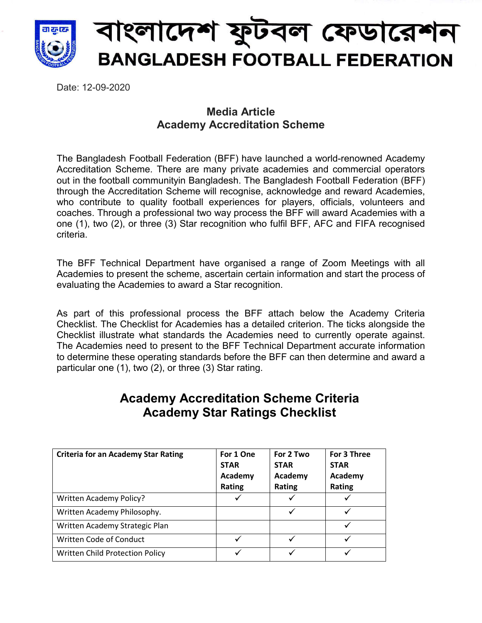

Date: 12-09-2020

## **Media Article Academy Accreditation Scheme**

The Bangladesh Football Federation (BFF) have launched a world-renowned Academy Accreditation Scheme. There are many private academies and commercial operators out in the football communityin Bangladesh. The Bangladesh Football Federation (BFF) through the Accreditation Scheme will recognise, acknowledge and reward Academies, who contribute to quality football experiences for players, officials, volunteers and coaches. Through a professional two way process the BFF will award Academies with a one (1), two (2), or three (3) Star recognition who fulfil BFF, AFC and FIFA recognised criteria.

The BFF Technical Department have organised a range of Zoom Meetings with all Academies to present the scheme, ascertain certain information and start the process of evaluating the Academies to award a Star recognition.

As part of this professional process the BFF attach below the Academy Criteria Checklist. The Checklist for Academies has a detailed criterion. The ticks alongside the Checklist illustrate what standards the Academies need to currently operate against. The Academies need to present to the BFF Technical Department accurate information to determine these operating standards before the BFF can then determine and award a particular one (1), two (2), or three (3) Star rating.

## **Academy Accreditation Scheme Criteria Academy Star Ratings Checklist**

| <b>Criteria for an Academy Star Rating</b> | For 1 One<br><b>STAR</b><br>Academy<br><b>Rating</b> | For 2 Two<br><b>STAR</b><br>Academy<br>Rating | For 3 Three<br><b>STAR</b><br>Academy<br><b>Rating</b> |
|--------------------------------------------|------------------------------------------------------|-----------------------------------------------|--------------------------------------------------------|
| Written Academy Policy?                    |                                                      |                                               |                                                        |
| Written Academy Philosophy.                |                                                      |                                               |                                                        |
| Written Academy Strategic Plan             |                                                      |                                               |                                                        |
| Written Code of Conduct                    |                                                      |                                               |                                                        |
| Written Child Protection Policy            |                                                      |                                               | ✓                                                      |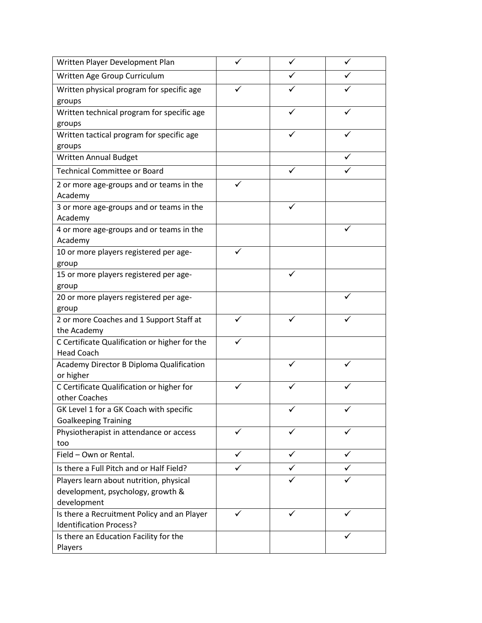| Written Player Development Plan                          |              |   |  |
|----------------------------------------------------------|--------------|---|--|
| Written Age Group Curriculum                             |              |   |  |
| Written physical program for specific age                |              |   |  |
| groups                                                   |              |   |  |
| Written technical program for specific age               |              |   |  |
| groups                                                   |              |   |  |
| Written tactical program for specific age                |              |   |  |
| groups                                                   |              |   |  |
| <b>Written Annual Budget</b>                             |              |   |  |
| <b>Technical Committee or Board</b>                      |              |   |  |
| 2 or more age-groups and or teams in the<br>Academy      |              |   |  |
| 3 or more age-groups and or teams in the                 |              |   |  |
| Academy                                                  |              |   |  |
| 4 or more age-groups and or teams in the                 |              |   |  |
| Academy                                                  |              |   |  |
| 10 or more players registered per age-                   | $\checkmark$ |   |  |
| group                                                    |              |   |  |
| 15 or more players registered per age-                   |              |   |  |
| group                                                    |              |   |  |
| 20 or more players registered per age-                   |              |   |  |
| group                                                    |              |   |  |
| 2 or more Coaches and 1 Support Staff at                 |              |   |  |
| the Academy                                              |              |   |  |
| C Certificate Qualification or higher for the            |              |   |  |
| <b>Head Coach</b>                                        |              |   |  |
| Academy Director B Diploma Qualification                 |              |   |  |
| or higher                                                |              |   |  |
| C Certificate Qualification or higher for                |              |   |  |
| other Coaches<br>GK Level 1 for a GK Coach with specific |              |   |  |
| <b>Goalkeeping Training</b>                              |              |   |  |
| Physiotherapist in attendance or access                  | ✓            | ✓ |  |
| too                                                      |              |   |  |
| Field - Own or Rental.                                   |              |   |  |
| Is there a Full Pitch and or Half Field?                 |              |   |  |
| Players learn about nutrition, physical                  |              |   |  |
| development, psychology, growth &                        |              |   |  |
| development                                              |              |   |  |
| Is there a Recruitment Policy and an Player              | ✓            | ✓ |  |
| <b>Identification Process?</b>                           |              |   |  |
| Is there an Education Facility for the                   |              |   |  |
| Players                                                  |              |   |  |